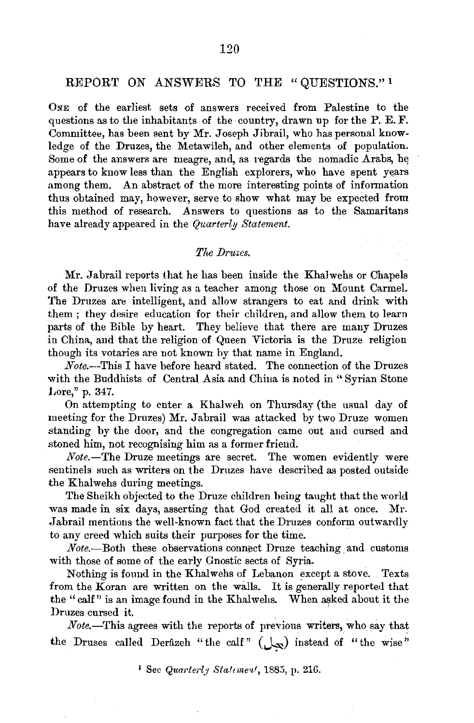## REPORT *ON* ANSWERS TO THE "QUESTIONS." 1

ONE of the earliest sets of answers received from Palestine to the questions as to the inhabitants of the country, drawn up for the P. E. F. Committee, has been sent by Mr. Joseph Jibrail, who has personal knowledge of the Druzes, the Metawileh, and other elements of population. Some of the answers are meagre, and, as regards the nomadic Arabs, he appears to know less than the English explorers, who have spent years among them. An abstract of the more interesting points of information thus obtained may, however, serve to show what may be expected from this method of research. Answers to questions as to the Samaritans have already appeared in the *Quarterly Statement.* 

#### *The Druzes.*

Mr. Jabrail reports that he has been inside the Khalwehs or Chapels of the Druzes when living as a teacher among those on Mount Carmel. The Druzes are intelligent, and allow strangers to eat and drink with them ; they desire education for their children, and allow them to learn parts of the Bible by heart. They believe that there are many Druzes in China, and that the religion of Queen Victoria is the Druze religion though its votaries are not known by that name in England.

*Note.--*This I have before heard stated. The connection of the Druzes with the Buddhists of Central Asia and China is noted in " Syrian Stone J,ore," p. 347.

On attempting to enter a Khalweh on Thursday (the usual day of meeting for the Druzes) Mr. Jabrail was attacked by two Druze women standing by the door, and the congregation came out and cursed and stoned him, not recognising him as a former friend.

*Note.-The* Druze meetings are secret. The women evidently were sentinels such as writers on the Druzes have described as posted outside the Khalwehs during meetings.

The Sheikh objected to the Druze children being taught that the world was made in six days, asserting that God created it all at once. Mr. Jabrail mentions the well-known fact that the Druzes conform outwardly to any creed which suits their purposes for the time. .

*Note.-*Both these observations connect Druze teaching, and customs with those of some of the early Gnostic sects of Syria.

Nothing is found in the Khalwehs of Lebanon except a stove. Texts from the Koran are written on the walls. It is generally reported that the "calf" is an image found in the Khalwehs. When asked about it the Druzes cursed it.

*Note.-*This agrees with the reports of previous writers, who say that the Druses called Derâzeh "the calf"  $(\bigcup_{x}$ ) instead of "the wise"

<sup>1</sup> See *Quarterly Statement*, 1885, p. 216.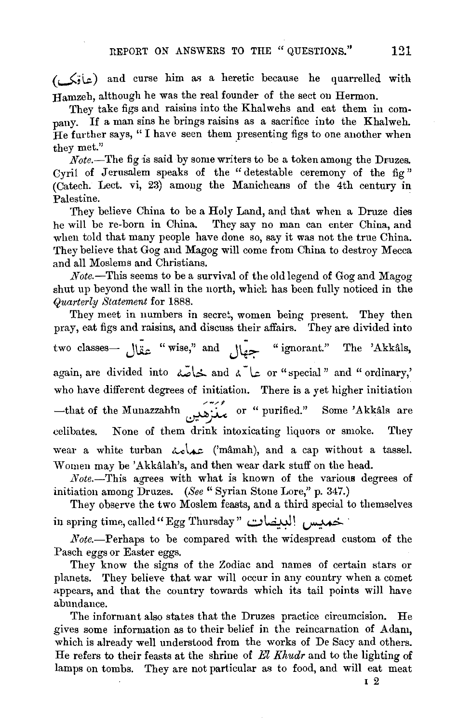(J,~) and curse him a~> a heretic because he quarrelled with Hamzeb, although he was the real founder of the sect on Hermon.

They take figs and raisins into the Khalwehs and eat them in company. If a man sins he brings raisins as a sacrifice into the Khalweh. He further says, "I have seen them presenting figs to one another when they met."

*Note.*—The fig is said by some writers to be a token among the Druzes. Cyril of Jerusalem speaks of the "detestable ceremony of the fig" (Catech. Lect. vi, 23) among the Manicheans of the 4th century in Palestine.

They believe China to be a Holy Land, and that when a Druze dies he will be re-born in China. They say no man can enter China, and when told that many people have done so, say it was not the true China. They believe that Gog and Magog will come from China to destroy Mecca and all Moslems and Christians.

*Note.-This* seems to be a survival of the old legend of Gog and Magog shut up beyond the wall in the north, which has been fully noticed in the *Quarterly Statement* for 1888.

They meet in numbers in secret, women being present. They then pray, eat figs and raisins, and discuss their affairs. They are divided into two classes— تُجهَّال "wise," and "جمَّال "ignorant." The 'Akkâls, again, are divided into خاصّة and a terminary, and " or "special " and " ordinary," the have different degrees of initiation. There is a yet higher initiation -that of the Munazzahin  $\overrightarrow{y}$  or "purified." Some 'Akkals are celibates. None of them drink intoxicating liquors or smoke. They wear a white turban  $\lambda_0$ .  $\alpha$ . ('mâmah), and a cap without a tassel. Women may be 'Akkâlah's, and then wear dark stuff on the head.

*Note.-This* agrees with what is known of the various degrees of initiation among Druzes. *(See"* Syrian Stone Lore," p. 347.)

nitiation among Druzes. (See '' Syrian Stone Lore,'' p. 347.)<br>They observe the two Moslem feasts, and a third special to themselves<br>in spring time, called '' Egg Thursday '' خمدیس البدیضات

*Note.*-Perhaps to be compared with the widespread custom of the Pasch eggs or Easter eggs.

They know the signs of the Zodiac and names of certain stars or planets. They believe that war will occur in any country when a comet appears, and that the country towards which its tail points will have abundance.

The informant also states that the Druzes practice circumcision. He gives some information as to their belief in the reincarnation of Adam, which is already well understood from the works of De Sacy and others. He refers to their feasts at the shrine of *El Khudr* and to the lighting of lamps on tombs. They are not particular as to food, and will eat meat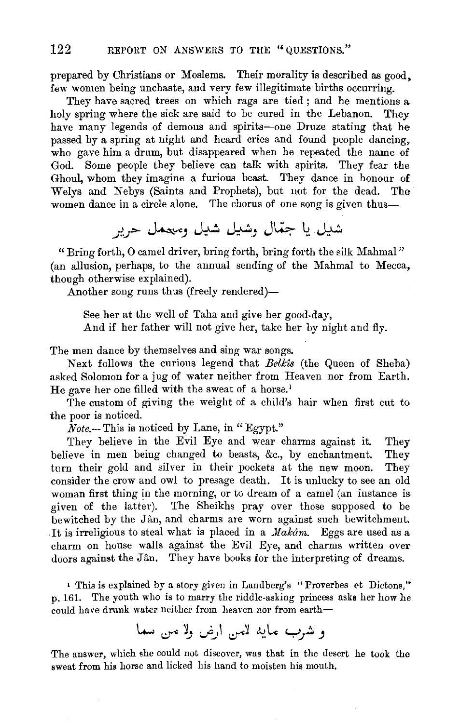prepared by Christians or Moslems. Their morality is described as good, few women being unchaste, and very few illegitimate births occurring.

They have sacred trees on which rags are tied ; and he mentions a. holy spring where the sick are said to be cured in the Lebanon. They have many legends of demons and spirits-one Druze stating that he passed by a spring at night and heard cries and found people dancing, who gave him a drum, but disappeared when he repeated the name of God. Some people they believe can talk with spirits. They fear the Ghoul, whom they imagine a furious beast. They dance in honour of Welys and Nebys (Saints and Prophets), but not for the dead. The women dance in a circle alone. The chorus of one song is given thus—

شيل يا جمّال وشيل شيل ومعمل حرب

"Bring forth, 0 camel driver, bring forth, bring forth the silk Mahmal" (an allusion, perhaps, to the annual sending of the Mahmal to Mecca, though otherwise explained).

Another song runs thus (freely rendered)—

See her at the well of Taha and give her good-day, And if her father will not give her, take her by night and fly.

The men dance by themselves and sing war songs.

Next follows the curious legend that *Belk'ls* (the Queen of Sheba) asked Solomon for a jug of water neither from Heaven nor from Earth. He gave her one filled with the sweat of a horse.<sup>1</sup>

The custom of giving the weight of a child's hair when first cut to the poor is noticed.

*Note.-* This is noticed by Lane, in" Egypt."

They believe in the Evil Eye and wear charms against it. They believe in men being changed to beasts, &c., by enchantment. They turn their gold and silver in their pockets at the new moon. They consider the crow and owl to presage death. It is unlucky to see an old woman first thing in the morning, or to dream of a camel (an instance is given of the latter). The Sheikhs pray over those supposed to be bewitched by the Jân, and charms are worn against such bewitchment, It is irreligious to steal what is placed in a  $\textit{Mak\hat{a}m}$ . Eggs are used as a charm on house walls against the Evil Eye, and charms written over doors against the Jân. They have books for the interpreting of dreams.

1 This is explained by a story given in Landberg's "Proverbes et Dictons," p. 161. The youth who is to marry the riddle-asking princess asks her how he could have drunk water neither from heaven nor from earth-

و نشرب مايه لاس ارض ولا من سما

The answer, which she could not discover, was that in the desert he took the sweat from his horse and licked his hand to moisten his mouth.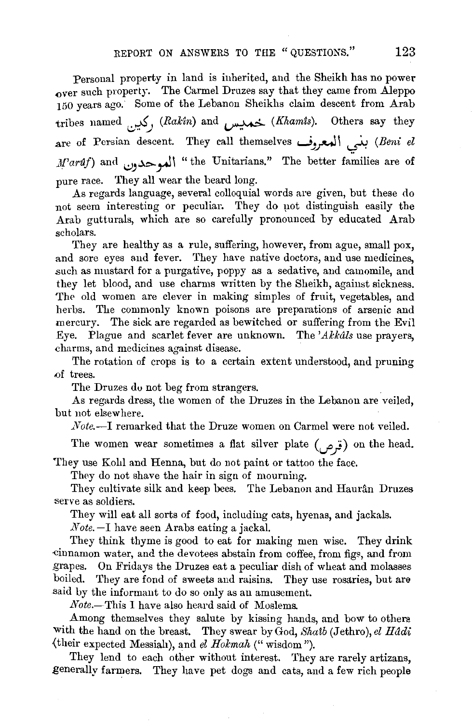Personal property in land is inherited, and the Sheikh has no power over such property. The Carmel Drnzes say that they came from Aleppo 150 years ago. Some of the Lebanon Sheikhs claim descent from Arab tribes named !,:):!'~.) *(RaHn)* and ~ *(Khamts).* Others say they .are of Persian descent. They call themselves **...JJ\_r-J** \ 0 *(Beni el*   $\textit{M}'\textit{ardf}$ ) and  $\bigcup_{i=1}^{\infty}$  "the Unitarians." The better families are of pure race. They all wear the beard long.

As regards language, several colloquial words are given, but these do not seem interesting or peculiar. They do pot distinguish easily the Arab gutturals, which are so carefully pronounced by educated Arab scholars.

They are healthy as a rule, suffering, however, from ague, small pox, and sore eyes and fever. They have native doctors, and use medicines, .such as mustard for a purgative, poppy as a sedative, and camomile, and they let blood, and use charms written by the Sheikh, against sickness. The old women are clever in making simples of fruit, vegetables, and herbs. The commonly known poisons are preparations of arsenic and mercury. The sick are regarded as bewitched or suffering from the Evil *Eye.* Plague and scarlet fever are unknown. The *'Alckdls* use prayers, charms, and medicines against disease.

The rotation of crops is to a certain extent understood, and pruning .of trees.

The Druzes du not beg from strangers.

As regards dress, the women of the Druzes in the Lebanon are veiled, but not elsewhere.

*Note.-*I remarked that the Druze women on Carmel were not veiled.

The women wear sometimes a flat silver plate (... j) on the head.

They use Kohl and Henna, but do not paint or tattoo the face.

They do not shave the hair in sign of mourning.

They cultivate silk and keep bees. The Lebanon and Haurân Druzes serve as soldiers.

They will eat all sorts of food, including cats, hyenas, and jackals.

*Note.-l* have seen Arabs eating a jackal.

They think thyme is good to eat for making men wise. They drink .cinnamon water, and the devotees abstain from coffee, from fig~, and from grapes. On Fridays the Druzes eat a peculiar dish of wheat and molasses boiled. They are fond of sweets and raisins. They use rosaries, but are .said by the informant to do so only as an amusement.

*Note.-* This I have also heard said of Moslems.

Among themselves they salute by kissing hands, and bow to others with the hand on the breast. They swear by God, *Shatb* (Jethro), *el Hddi*  {their expected Messiah), and *el Holcmah* ("wisdom").

They lend to each other without interest. They are rarely artizans, generally farmers. They have pet dogs and cats, and a few rich people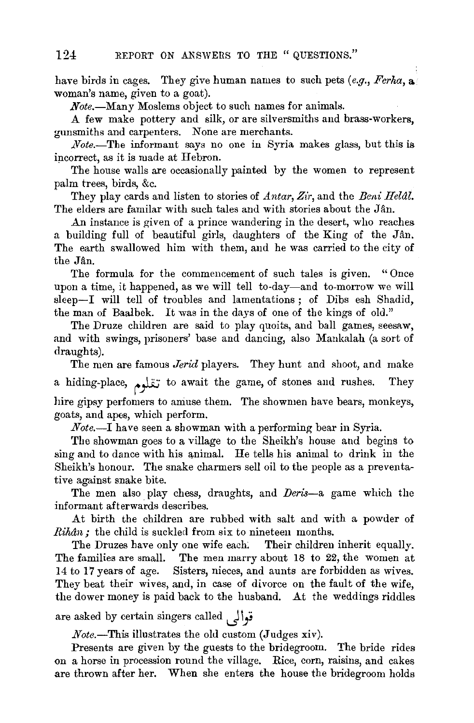have birds in cages. They give human names to such pets *(e.g., Ferha,* a woman's name, given to a goat).

*Note.-Many* Moslems object to such names for animal8.

A few make pottery and silk, or are silversmiths and brass-workers, gunsmiths and carpenters. None are merchants.

*Note.-*The informant says no one in Syria makes glass, but this is incorrect, as it is made at Hebron.

The house walls are occasionally painted by the women to represent palm trees, birds, &c.

They play cards and listen to stories of *Antar, Zir,* and the *Beni Helal.*  The elders are familar with such tales and with stories about the Jan.

An instance is given of a prince wandering in the desert, who reaches a building full of beautiful girls, daughters of the King of the Jan. The earth swallowed him with them, and he was carried to the city of the Jan.

The formula for the commencement of such tales is given. " Once upon a time, it happened, as we will tell to-day-and to-morrow we will sleep-I will tell of troubles and lamentations; of Dibs esh Shadid, the man of Baalbek. It was in the days of one of the kings of old."

The Druze children are said to play quoits, and ball games, seesaw, and with swings, prisoners' base and dancing, also Mankalah (a sort of draughts).

The men are famous *Jerid* players. They hunt and shoot, and make a hiding-place, تقلوم to await the game, of stones and rushes. They hire gipsy perfomers to amuse them. The showmen have bears, monkeys, goats, and apes, which perform.

*Note.-1* have seen a showman with a performing bear in Syria.

The showman goes to a village to the Sheikh's house and begins to sing and to dance with his animal. He tells his animal to drink in the Sheikh's honour. The snake charmers sell oil to the people as a preventative against snake bite.

The men also play chess, draughts, and *Deris-a* game which the informant afterwards describes.

At birth the children are rubbed with salt and with a powder of *Rihan;* the child is suckled from six to nineteen months.

The Druzes have only one wife each. Their children inherit equally. The families are small. The men marry about 18 to 22, the women at 14 to 17 years of age. Sisters, nieces, and aunts are forbidden as wives. They beat their wives, and, in case of divorce on the fault of the wife, the dower money is paid back to the husband. At the weddings riddles

are asked by certain singers called  $\mathbf{q}$   $\mathbf{s}$ 

*Note.-This* illustrates the old custom (Judges xiv).

Presents are given by the guests to the bridegroom. The bride rides on a horse in procession round the village. Rice, corn, raisins, and cakes are thrown after her. When she enters the house the bridegroom holds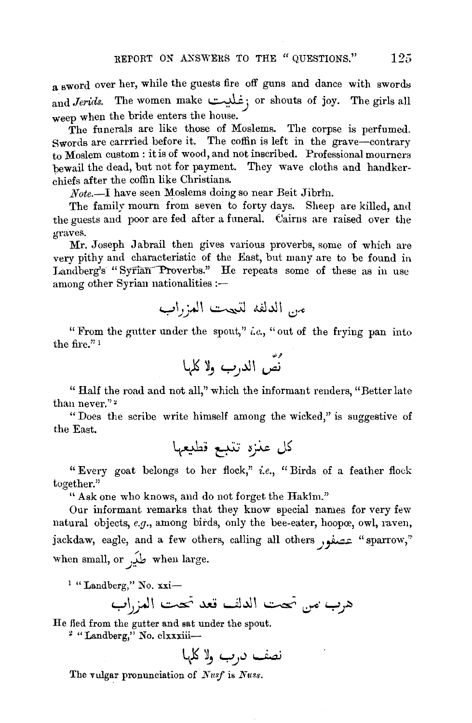a sword over her, while the guests fire off guns and dance with swords and *Jerids*. The women make :غليت ; or shouts of joy. The girls all weep when the bride enters the house.

The funerals are like those of Moslems. The corpse is perfumed. Swords are carrried before it. The coffin is left in the grave-contrary to Moslem custom : it is of wood, and not inscribed. Professional mourners bewail the dead, but not for payment. They wave cloths and handker- ~hiefs after the coffin like Chrisiians.

*Note.-I* have seen Moslems doing so near Beit Jibrin.

The family mourn from seven to forty days. Sheep are killed, and the guests and poor are fed after a funeral. Cairns are raised over the **graves.** 

Mr. Joseph Jabrail then gives various proverbs, some of which are very pithy and characteristic of the East, but many are to be found in Landberg's "Syrian-Verberg" However the Land, our many are so be round in the repeats some of these as in use mong other Syrian nationalities :-

"From the gutter under the spout," *i.e.,* "out of the frying pan into the fire." 1

ر<br>نصّ الدرب ولا كلها

" Half the road and not all,'' which the informant renders, "Better late than never."<sup>2</sup>

" Does the scribe write himself among the wicked," is suggestive of the East.

" Every goat belongs to her flock,'' *i.e.,* " Birds of a feather flock together."

"Ask one who knows, and do not forget the Hakim."

Our informant remarks that they know special names for very few natural objects, *e.g.*, among birds, only the bee-eater, hoopœ, owl, raven, jackdaw, eagle, and a few others, calling all others , 2011 - "sparrow" when small, or  $\overrightarrow{\mathbf{L}}$  when large.

 $<sup>1</sup>$  "Landberg," No. xxi-</sup>

y~\_j-J\ ~ -.\.1U ul...\11 ~ ~· Y.J~

He fled from the gutter and sat under the spout.

<sup>2</sup> "Landberg," No. clxxxiii--

~ ~J Y.J;) ~

The vulgar pronunciation of *Nusf* is *Nuss*.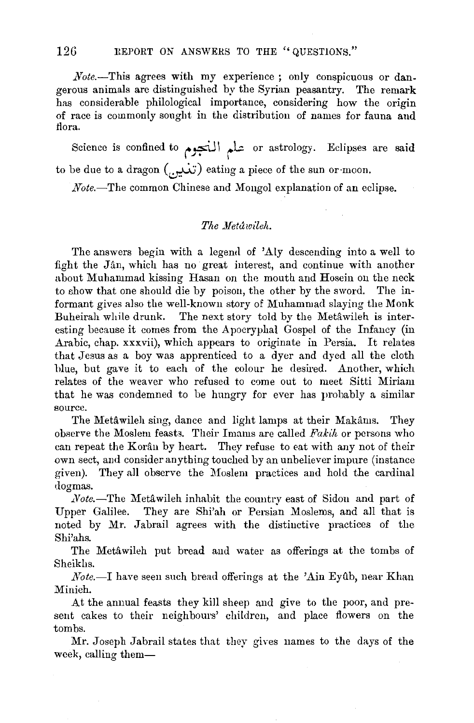*Note.*—This agrees with my experience; only conspicuous or dangerous animals are distinguished by the Syrian peasantry. The remark has considerable philological importance, considering how the origin of race is commonly sought in the distribution of names for fauna and flora.

Science is confined to محلم المنجوم or astrology. Eclipses are said to be due to a dragon ( $(\ldots)$  eating a piece of the sun or moon.

*Note.*—The common Chinese and Mongol explanation of an eclipse.

## *The .Metawileh.*

The answers begin with a legend of 'Aly descending into a well to fight the Jan, which has no great interest, and continue with another about Muhammad kissing Hasan on the mouth and Hosein on the neck to show that one should die by poison, the other by the sword. The informant gives also the well-known story of Muhammad slaying the Monk Buheirah while drunk. The next story told by the Metawileh is interesting because it comes from the Apocryphal Gospel of the Infancy (in Arabic, chap. xxxvii), which appears to originate in Persia. It relates that Jesus as a boy was apprenticed to a dyer and dyed all the cloth hlue, but gave it to each of the colour he desired. Another, which relates of the weaver who refused to come out to meet Sitti Miriam that he was condemned to be hungry for ever has probably a similar source.

The Metawileh sing, dance and light lamps at their Makams. They observe the Moslem feast3. Their Imams are called *Fakih* or persons who can repeat the Koran by heart. They refuse to eat with any not of their own sect, and consider anything touched by an unbeliever impure (instance given). They all observe the Moslem practices and hold the cardinal dogmas.

*.Note.-The* Metawileh inhabit the country east of Sidon and part of Upper Galilee. They are Shi'ah or Persian Moslems, and all that is noted by Mr. Jabrail agrees with the distinctive practices of the Shi'ahs.

The Metawileh put bread and water as offerings at the tombs of Sheikhs .

*Note.*-I have seen such bread offerings at the 'Ain Eyûb, near Khan Minieh.

At the annual feasts they kill sheep and give to the poor, and present cakes to their neighbours' children, and place flowers on the tombs.

Mr. Joseph Jabrail states that they gives names to the days of the week, calling them-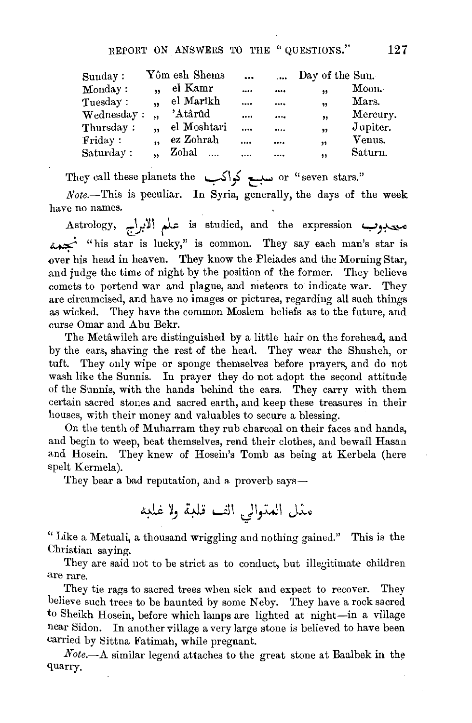| Sunday:    |           | Yôm esh Shems | $\ddotsc$ | $\cdots$ | Day of the Sun.         |          |
|------------|-----------|---------------|-----------|----------|-------------------------|----------|
| Monday:    | ,,        | el Kamr       |           |          | ,                       | Moon.    |
| Tuesday:   | ,         | el Marîkh     | $\cdots$  |          | $\overline{\mathbf{v}}$ | Mars.    |
| Wednesday: |           | 'Atârûd       |           |          | "                       | Mercury. |
| Thursday:  |           | el Moshtari   | $\cdots$  |          | ,,                      | Jupiter. |
| Finday:    | $\bullet$ | ez Zohrah     |           |          | ,,                      | Venus.   |
| Saturday:  |           | Zohal         |           |          | ,,                      | Saturn.  |

They call these planets the ~\} ~ or "seven stars."

 $Note. - This is peculiar. In Syria, generally, the days of the week$ have no names.

معدوب is studied, and the expression معدوب<br>"his star is lucky," is common. They say each man's star is منه. is this star is lucky," is common. They say each man's star is over his head in heaven. They know the Pleiades and the Morning Star, and judge the time of night by the position of the former. They believe comets to portend war and plague, and meteors to indicate war. They are circumcised, and have no images or pictures, regarding all such things as wicked. They have the common Moslem beliefs as to the future, and curse Omar and Abu Bekr.

The Metawileh are distinguished by a little hair on the forehead, and by the ears, shaving the rest of the head. They wear the Shusheh, or tuft. They only wipe or sponge themselves before prayers, and do not wash like the Sunnis. In prayer they do not adopt the second attitude of the Sunnis, with the hands behind the ears. They carry with them certain sacred stones and sacred earth, and keep these treasures in their houses, with their money and valuables to secure a blessing.

On the tenth of Muharram they rub charcoal on their faces and hands, and begin to weep, beat themselves, rend their clothes, and bewail Hasan and Hosein. They knew of Hoseiu's Tomb as being at Kerbela (here spelt Kerrnela).

They bear a bad reputation, and a proverb says—

"Like a Metuali, a thousand wriggling and nothing gained." This is the Christian saying.

They are said not to be strict as to conduct, but illegitimate children are rare.

They tie rags to sacred trees when sick and expect to recover. They believe such trees to be haunted by some Neby. They have a rock sacred to Sheikh Hosein, before which lamps are lighted at night-in a village near Sidon. In another village a very large stone is believed to have been carried by Sittna Fatimah, while pregnant.

*Note.-*A similar legend attaches to the great stone at Baalbek in the quarry.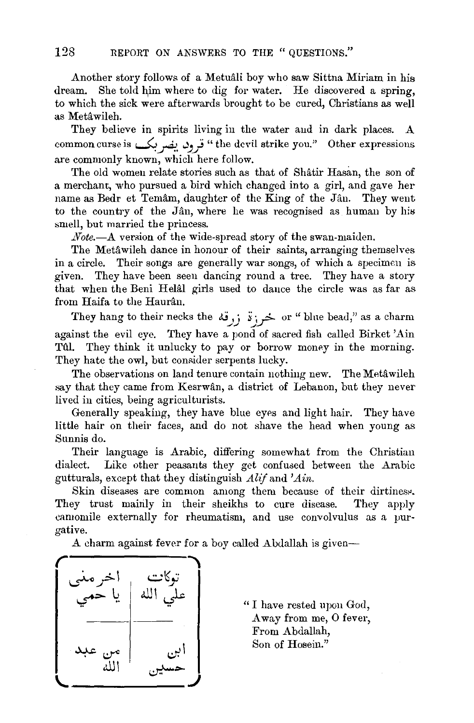Another story follows of a Metuali boy who saw Sittna Miriam in his dream. She told him where to dig for water. He discovered a spring, to which the sick were afterwards brought to be cured, Christians as well as Metawileh.

They believe in spirits living in the water and in dark places. A common curse is ~A. -'J.J "the devil strike you." Other expressions are commonly known, which here follow.

The old women relate stories such as that of Shatir Hasan, the son of a merchant, who pursued a bird which changed into a girl, and gave her name as Bedr et Temâm, daughter of the King of the Jân. They went to the country of the Jân, where he was recognised as human by his smell, but married the princess.

*Note.-*A version of the wide-spread story of the swan-maiden.

The Metâwileh dance in honour of their saints, arranging themselves in a circle. Their songs are generally war songs, of which a specimen is given. They have been seen dancing round a tree. They have a story that when the Beni Helal girls used to dance the circle was as far as from Haifa to the Haurân.

They hang to their necks the  $i$ ; خر;  $i$ ; ضر; "blue bead," as a charm against the evil eye. They have a pond of sacred fish called Birket 'Ain Tul. They think it unlucky to pay or borrow money in the morning. They hate the owl, but consider serpents lucky.

The observations on land tenure contain nothing new. The Metâwileh say that they came from Kesrwân, a district of Lebanon, but they never lived in cities, being agriculturists.

Generally speaking, they have blue eyes and light hair. They have little hair on their faces, and do not shave the head when young as Sunnis do.

Their language is Arabic, differing somewhat from the Christian dialect. Like other peasants they get confused between the Arabic gutturals, except that they distinguish *Alif* and *'A in.* 

Skin diseases are common among them because of their dirtiness. They trust mainly in their sheikhs to cure disease. They apply camomile externally for rheumatism, and use convolvulus as a purgative.

A charm against fever for a boy called Abdallah is given-



"I have rested upon God, A way from me, 0 fever, From Abdallah, Son of Hosein."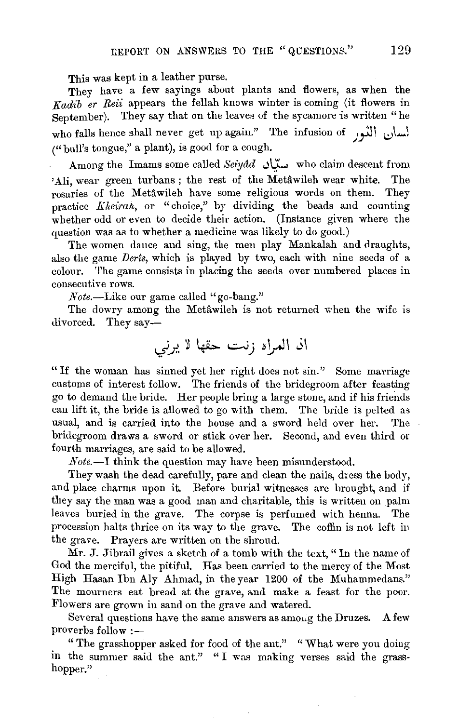This was kept in a leather purse.

They have a few sayings about plants and flowers, as when the *Kadib er Reii* appears the fellah knows winter is coming (it flowers in September). They say that on the leaves of the sycamore is written "he who falls hence shall never get up again." The infusion of أَلسان الثور  $($ " bull's tongue," a plant), is good for a cough.

 $A$ mong the Imams some called *Seiyad* ستان who claim descent from 'Ali, wear green turbans; the rest of the Metâwileh wear white. The rosaries of the Metâwileh have some religious words on them. They practice *f{heirah,* or "choice," by dividing the beads and counting whether odd or even to decide their action. (Instance given where the question was as to whether a medicine was likely to do good.)

The women dance and sing, the men play Mankalah and draughts, also the game *Derts,* which is played by two, each with nine seeds of a colour. 'l'he game consists in placing the seeds over numbered places in consecutive rows.

*Note.-Like* our game called "go-bang."

The dowry among the Metâwileh is not returned when the wife is divorced. They say-

" If the woman has sinned yet her right does not sin.'' Some marriage customs of interest follow. The friends of the bridegroom after feasting go to demand the bride. Her people bring a large stone, and if his friends can lift it, the bride is allowed to go with them. The bride is pelted as usual, and is carried into the house and a sword held over her. The bridegroom draws a sword or stick over her. Second, and even third or fourth marriages, are said to be allowed.

*Note.-*I think the question may have been misunderstood.

They wash the dead carefully, pare and clean the nails, dress the body, and place charms upon it. Before burial witnesses are brought, and if they say the man was a good man and charitable, this is written on palm leaves buried in the grave. The corpse is perfumed with henna. The procession halts thrice on its way to the grave. The coffin is not left in the grave. Prayers are written on the shroud.

Mr. J. Jibrail gives a sketch of a tomb with the text," In the name of God the merciful, the pitiful. Has been carried to the mercy of the Most High Hasan Ibn Aly Ahmad, in the year 1200 of the Muhammedans." The mourners eat bread at the grave, and make a feast for the poor. Flowers are grown in sand on the grave and watered.

Sex are grown in same on the grave and watered.<br>Would are the have the same answers as amo, ... the Druges. ... A few proverbs follow: proverbs follow :—<br>" The grasshopper asked for food of the ant." "What were you doing"

in the summer said the ant." "I was making verses said the grasshopper."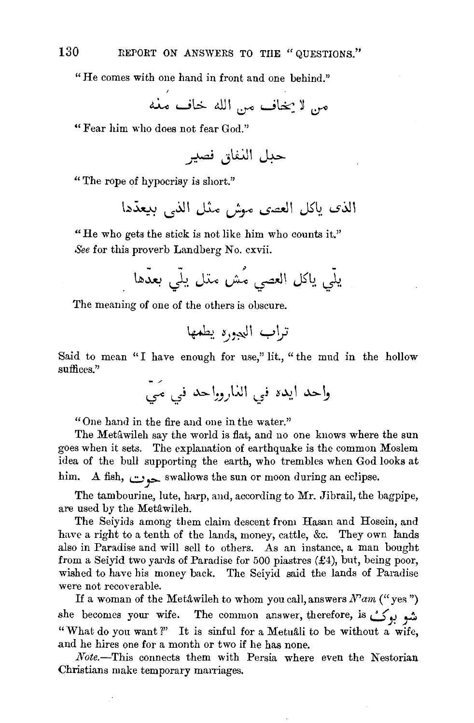"He comes with one hand in front and one behind."

"Fear him who does not fear God."

~ ··\.i.\J\ I •- fl-- *1.)* ~

"The rope of hypocrisy is short."

الذي ياكل العصى مهش مثل الذي بيعدِّها

"He who gets the stick is not like him who counts it." *See* for this proverb Landberg No. cxvii.

- - *y*  \~~ l.?l.:. '""\M Lfo--o ~~\ JS'l~. *,\_\_}.* 

The meaning of one of the others is obscure.

Said to mean "I have enough for use," lit., "the mud in the hollow suffices."

واحد ايده في الذاروواحد في مَيْ

"One hand in the fire and one in the water."

The Metawileh say the world is flat, and no one knows where the sun goes when it sets. The explanation of earthquake is the common Moslem idea of the bull supporting the earth, who trembles when God looks at him. A fish, *.::...,')>-* swallows the sun or moon during an eclipse.

The tambourine, lute, harp, and, according to Mr. Jibrail, the bagpipe, are used by the Metâwileh.

The Seiyids among them claim descent from Hasan and Hosein, and have a right to a tenth of the lands, money, cattle, &c. They own lands also in Paradise and will sell to others. As an instance, a man bought from a Seiyid two yards of Paradise for 500 piastres (£4), but, being poor, wished to have his money back. The Seiyid said the lands of Paradise were not recoverable.

If a woman of the Metâwileh to whom you call, answers  $N^2$ am ("yes") she becomes your wife. The common answer, therefore, is ~)~ *\_,.::.*  "What do you want?" It is sinful for a Metuali to be without a wife, and he hires one for a month or two if he has none.

*Note.-This* connects them with Persia where even the Nestorian Christians make temporary marriages.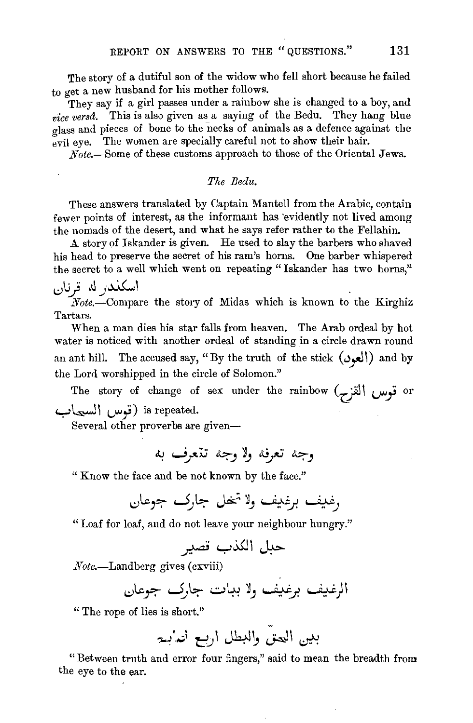The story of a dutiful son of the widow who fell short because he failed to get a new husband for his mother follows.

They say if a girl passes under a rainbow she is changed to a boy, and *vice versa.* This is also given as a saying of the Bedu. They hang blue glass and pieces of bone to the necks of animals as a defence against the evil eye. The women are specially careful not to show their hair.

*Note.-Some* of these customs approach to those of the Oriental Jews.

#### *The Bedu.*

These answers translated by Captain Mantell from the Arabic, contain fewer points of interest, as the informant has 'evidently not lived among the nomads of the desert, and what he says refer rather to the Fellahin.

.A story of Iskander is given. He used to slay the barbers who shaved his head to preserve the secret of his ram's horns. One barber whispered the secret to a well which went on repeating "Iskander has two horns,"

L.:)IJj J.l\_)~\

*Note.-Compare* the story of Midas which is known to the Kirghiz. Tartars.

When a man dies his star falls from heaven. The Arab ordeal by hot water is noticed with another ordeal of standing in a circle drawn round an ant hill. The accused say, "By the truth of the stick  $(\cup \downarrow \downarrow)$  and by the Lord worshipped in the circle of Solomon."

The story of change of sex under the rainbow Cz:Jll *v-}* or is repeated. (قوس السيماب)

Several other proverbs are given-

<sup>~</sup>**w\_r:v** J.:;;) *1)* ~JtJ J.:;;)

" Know the face and be not known by the face."

"Loaf for loaf, and do not leave your neighbour hungry."

~y~\~

 $Note. - Landberg gives (c$ xviii)

الرغيف برغيف ولا ببات جارك جوعان

" The rope of lies is short."

**7-)· .•** .;.~ *e.)* J41~ J.JI ~

"Between truth and error four fingers," said to mean the breadth from the eye to the ear.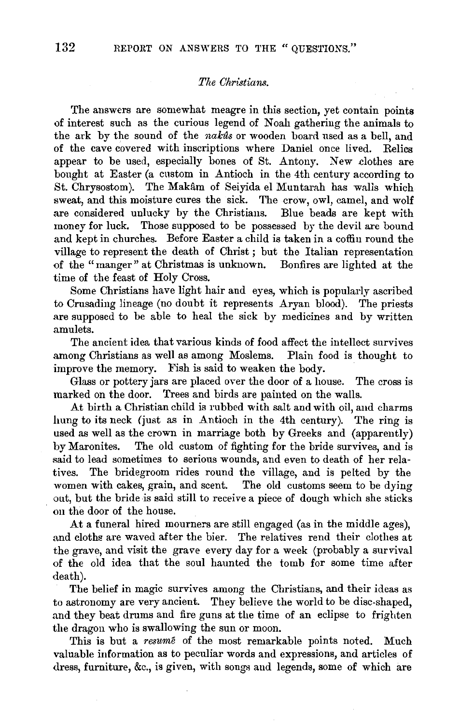## *Tile Christians.*

The answers are somewhat meagre in this section, yet contain points of interest such as the curious legend of Noah gathering the animals to the ark by the sound of the *nakas* or wooden board used as a bell, and of the cave covered with inscriptions where Daniel once lived. Relics appear to be used, especially bones of St. Antony. New clothes are bought at Easter (a custom in Antioch in the 4th century according to St. Chrysostom). The Makam of Seiyida el Muntarah has walls which sweat, and this moisture cures the sick. The crow, owl, camel, and wolf are considered unlucky by the Christians. Blue beads are kept with money for luck. Those supposed to be possessed by the devil are bound and kept in churches. Before Easter a child is taken in a coffin round the village to represent the death of Christ ; but the Italian representation of the "manger" at Christmas is unknown. Bonfires are lighted at the time of the feast of Holy Cross.

Some Christians have light hair and eyes, which is popularly ascribed to Crusading lineage (no doubt it represents Aryan blood). The priests are supposed to be able to heal the sick by medicines and by written amulets.

The ancient idea that various kinds of food affect the intellect survives among Christians as well as among Moslems. Plain food is thought to improve the memory. Fish is said to weaken the body.

Glass or pottery jars are placed over the door of a house. The cross is marked on the door. Trees and birds are painted on the walls.

At birth a Christian child is rubbed with salt and with oil, and charms hung to its neck (just as in Antioch in the 4th century). The ring is used as well as the crown in marriage both by Greeks and (apparently) by Maronites. The old custom of fighting for the bride survives, and is said to lead sometimes to serious wounds, and even to death of her relatives. The bridegroom rides round the village, and is pelted by the women with cakes, grain, and scent. The old customs seem to be dying out, but the bride is said still to receive a piece of dough which she sticks on the door of the house.

At a funeral hired mourners are still engaged (as in the middle ages), and cloths are waved after the bier. The relatives rend their clothes at the grave, and visit the grave every day for a week (probably a survival of the old idea that the soul haunted the tomb for some time after death).

The belief in magic survives among the Christians, and their ideas as to astronomy are very ancient. They believe the world to be disc-shaped, and they beat drums and fire guns at the time of an eclipse to frighten the dragon who is swallowing the sun or moon.

This is but a *resume* of the most remarkable points noted. Much valuable information as to peculiar words and expressions, and articles of dress, furniture, &c., is given, with songs and legends, some of which are